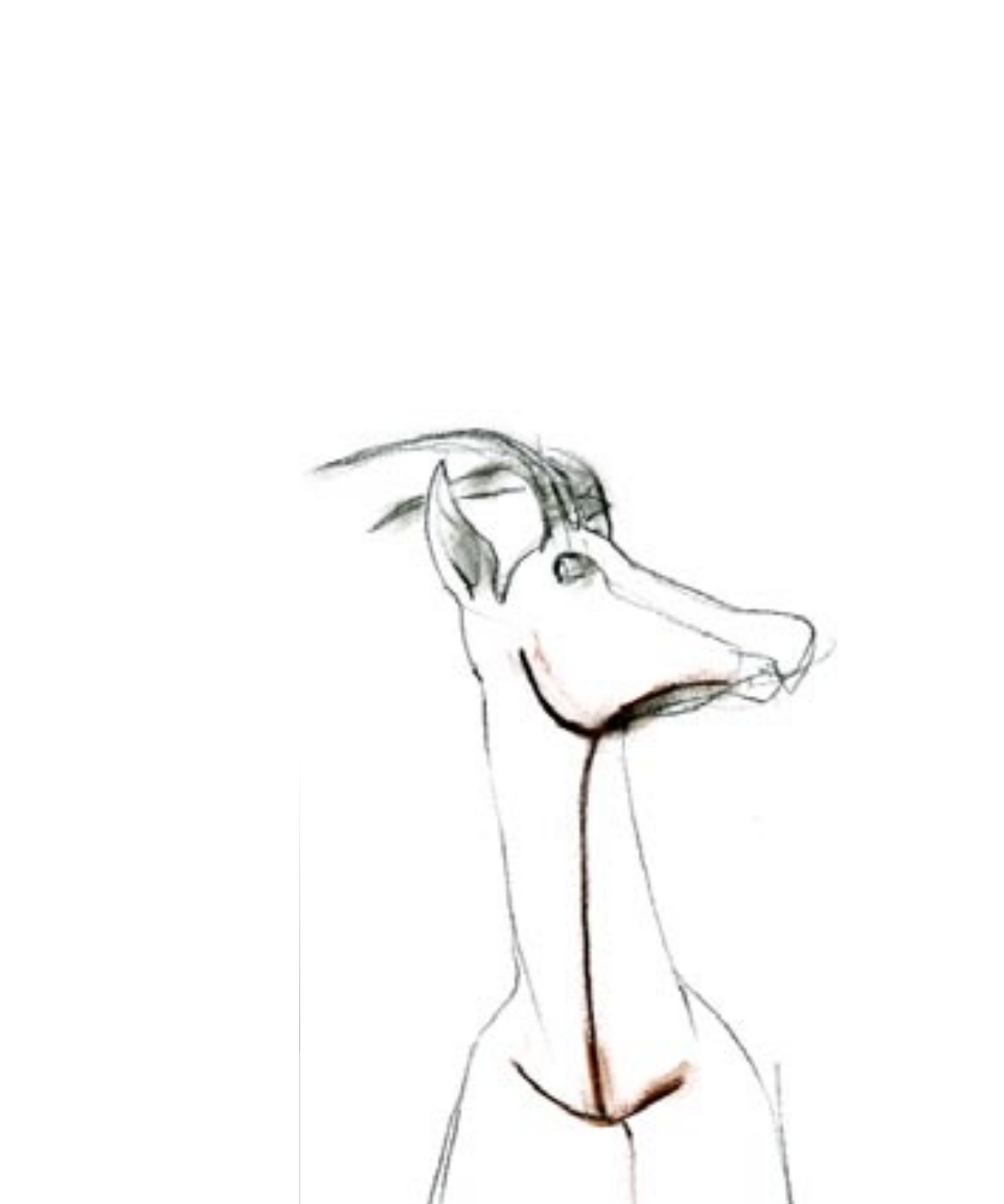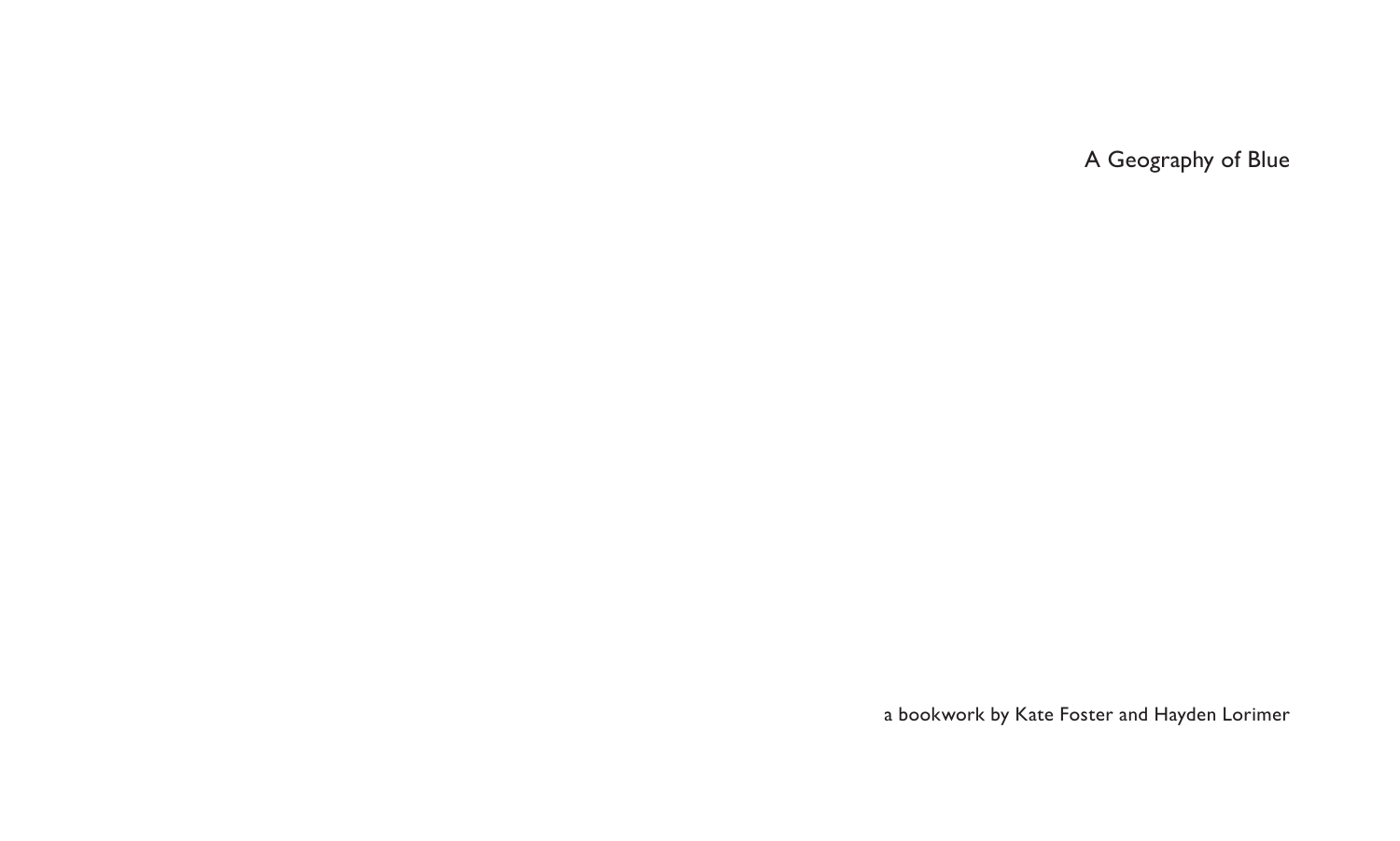A Geography of Blue

a bookwork by Kate Foster and Hayden Lorimer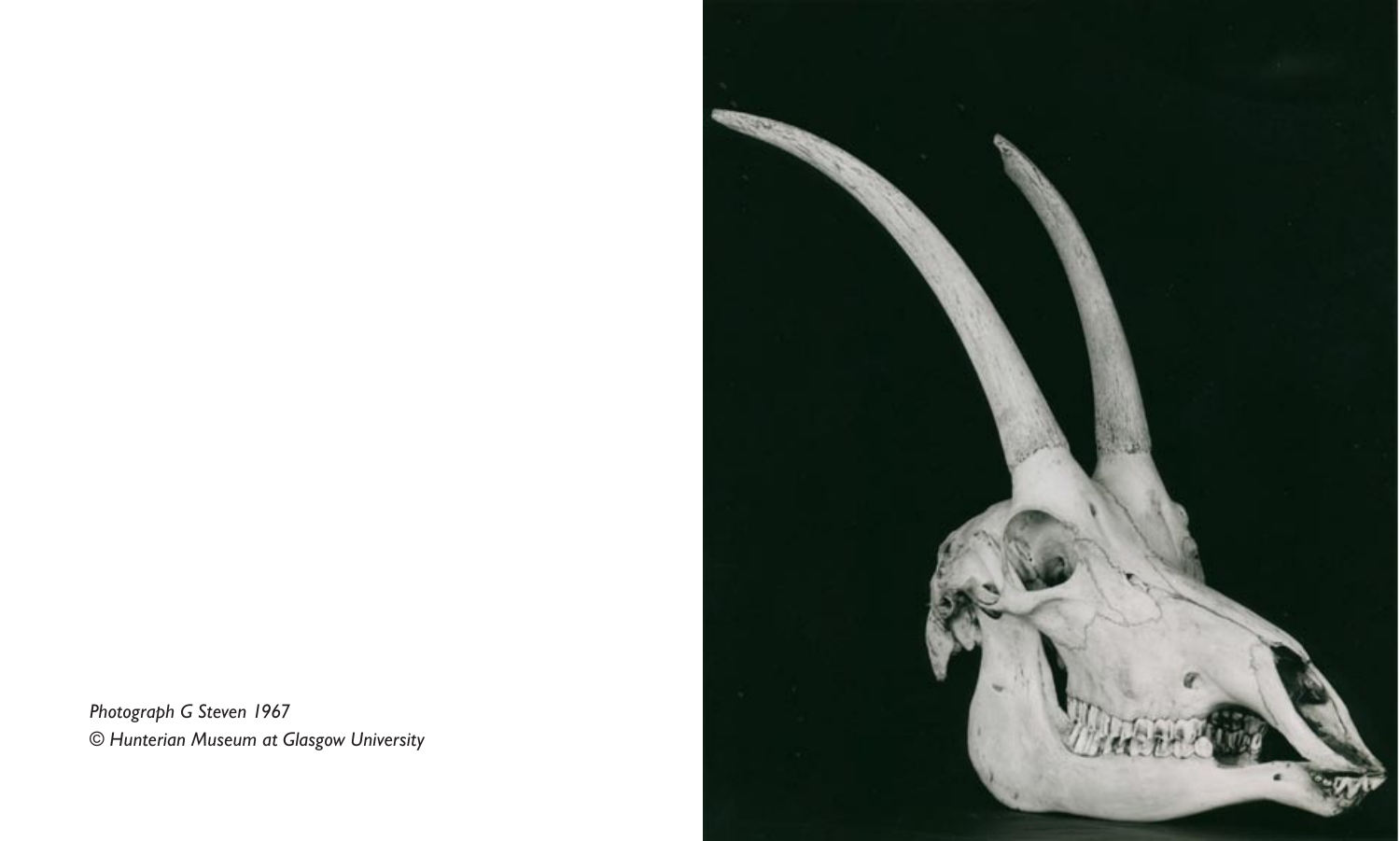*Photograph G Steven 1967 © Hunterian Museum at Glasgow University*

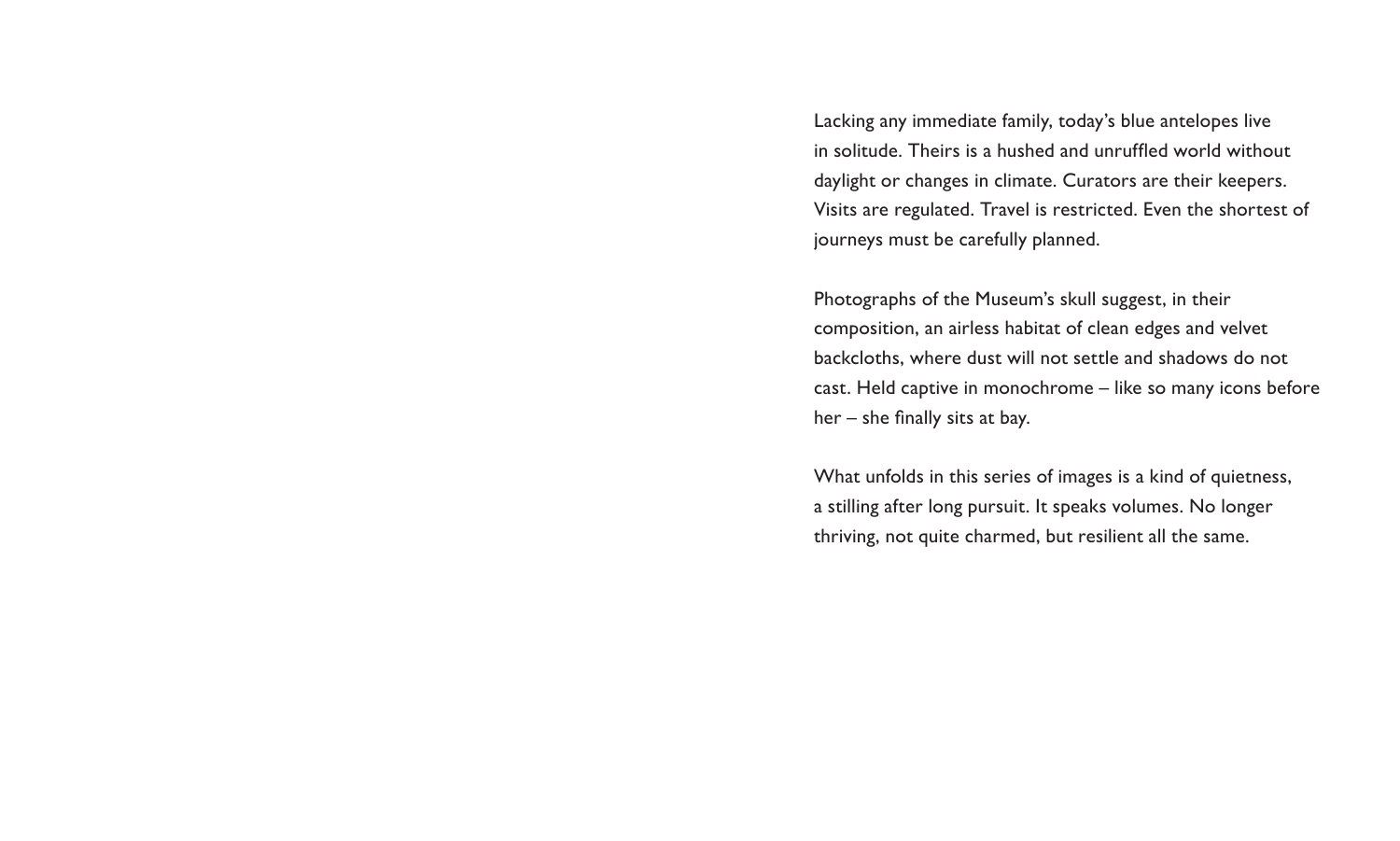Lacking any immediate family, today's blue antelopes live in solitude. Theirs is a hushed and unruffled world without daylight or changes in climate. Curators are their keepers. Visits are regulated. Travel is restricted. Even the shortest of journeys must be carefully planned.

Photographs of the Museum's skull suggest, in their composition, an airless habitat of clean edges and velvet backcloths, where dust will not settle and shadows do not cast. Held captive in monochrome – like so many icons before her – she finally sits at bay.

What unfolds in this series of images is a kind of quietness, a stilling after long pursuit. It speaks volumes. No longer thriving, not quite charmed, but resilient all the same.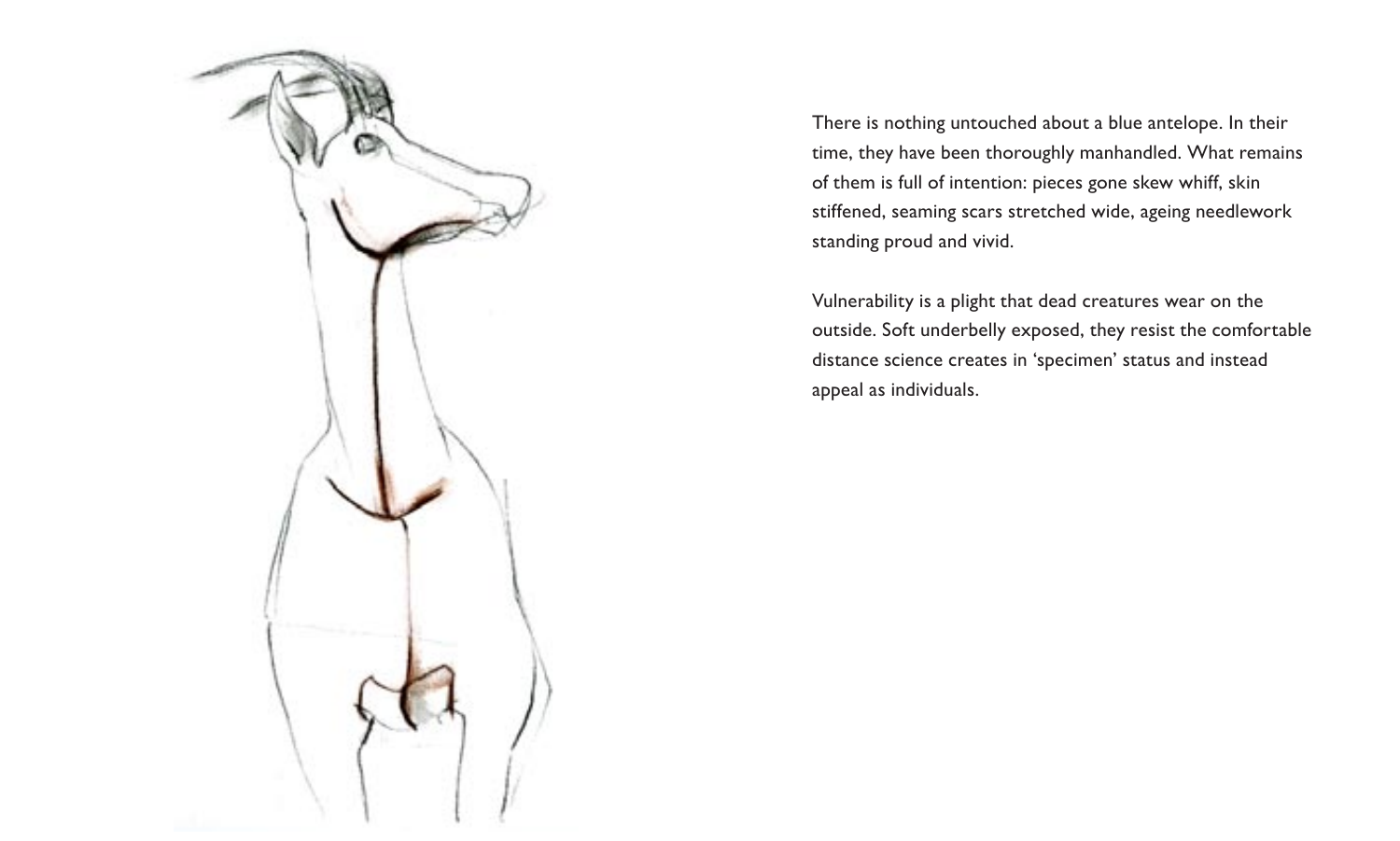

There is nothing untouched about a blue antelope. In their time, they have been thoroughly manhandled. What remains of them is full of intention: pieces gone skew whiff, skin stiffened, seaming scars stretched wide, ageing needlework standing proud and vivid.

Vulnerability is a plight that dead creatures wear on the outside. Soft underbelly exposed, they resist the comfortable distance science creates in 'specimen' status and instead appeal as individuals.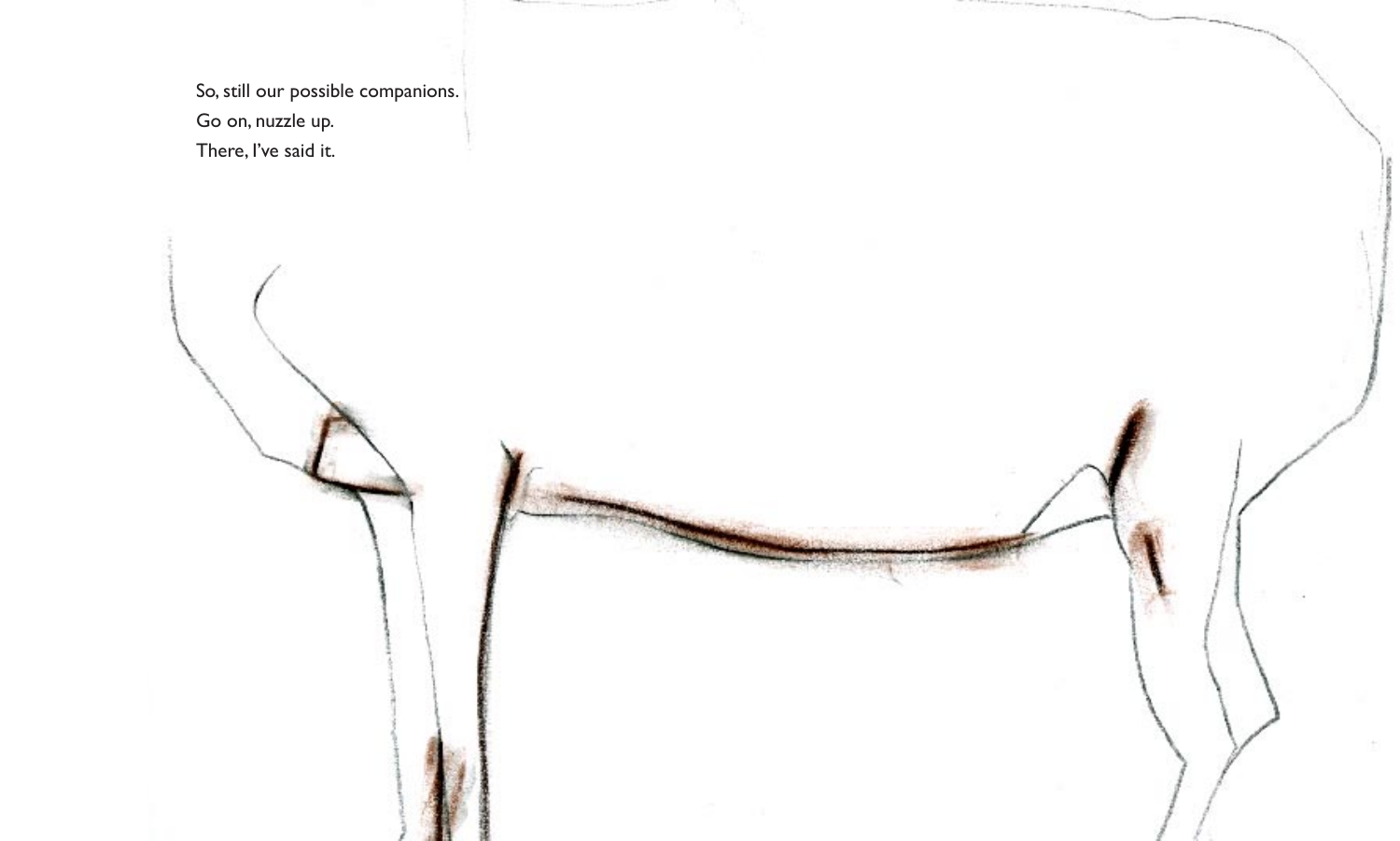So, still our possible companions. Go on, nuzzle up. There, I've said it.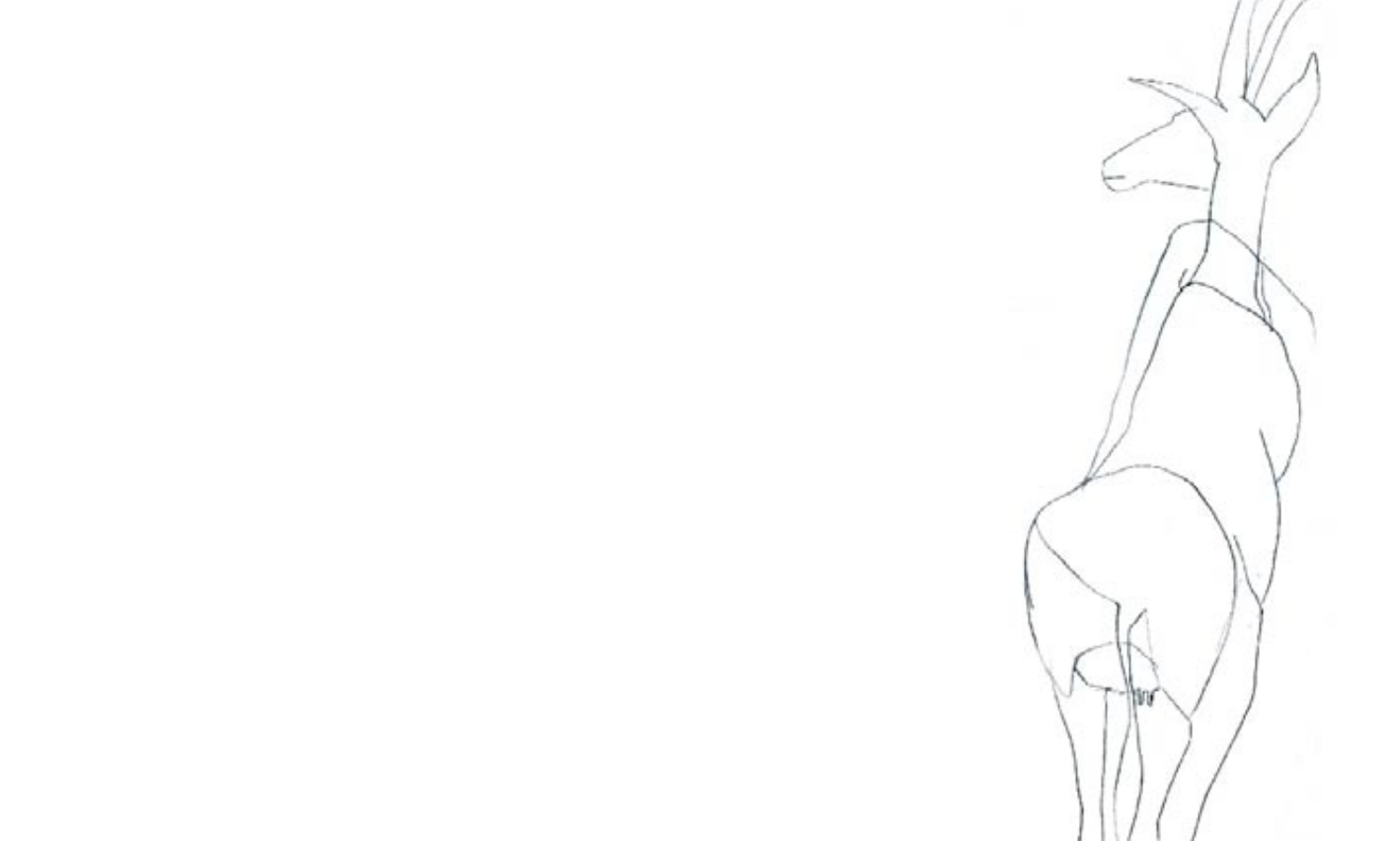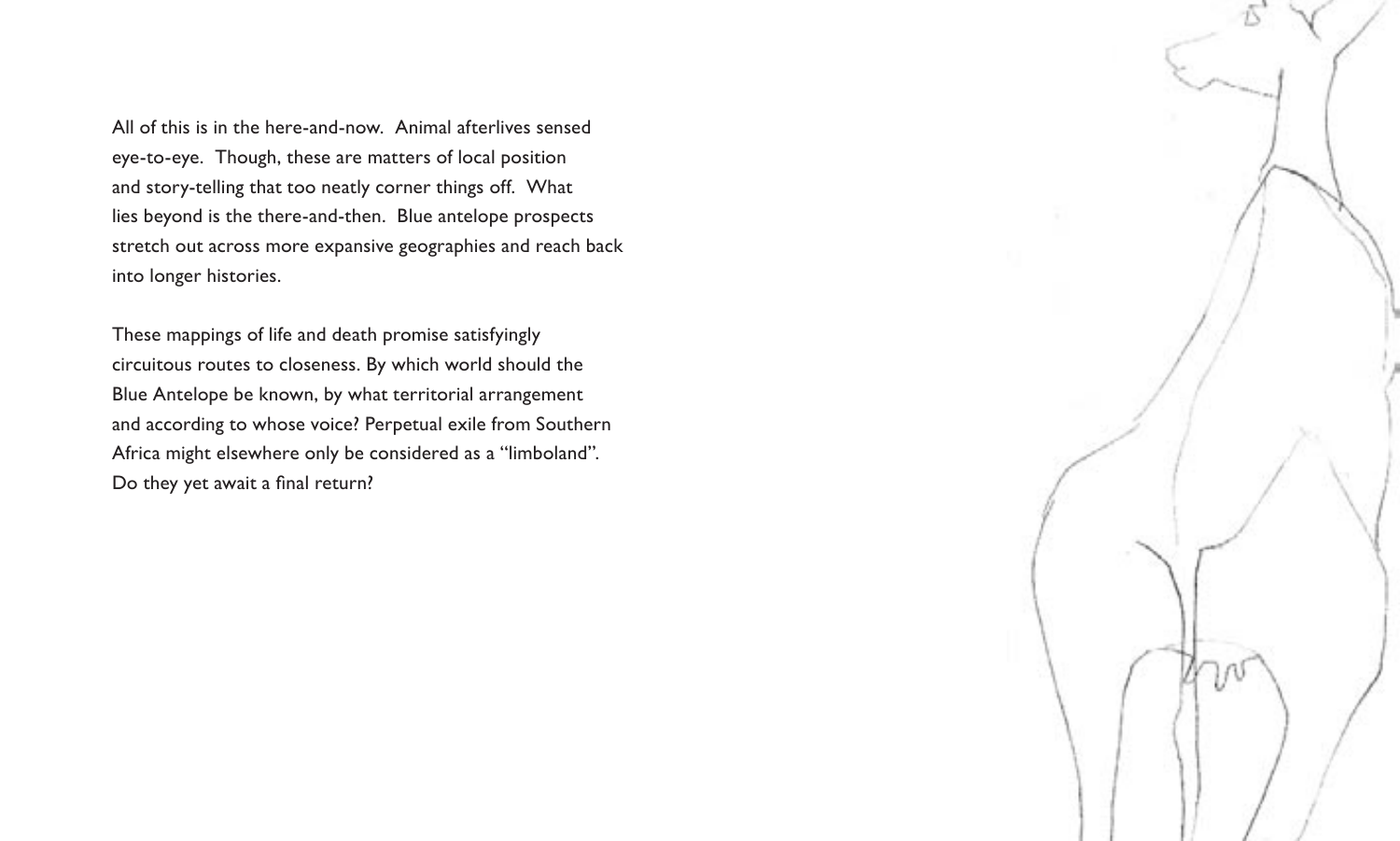All of this is in the here-and-now. Animal afterlives sensed eye-to-eye. Though, these are matters of local position and story-telling that too neatly corner things off. What lies beyond is the there-and-then. Blue antelope prospects stretch out across more expansive geographies and reach back into longer histories.

These mappings of life and death promise satisfyingly circuitous routes to closeness. By which world should the Blue Antelope be known, by what territorial arrangement and according to whose voice? Perpetual exile from Southern Africa might elsewhere only be considered as a "limboland". Do they yet await a final return?

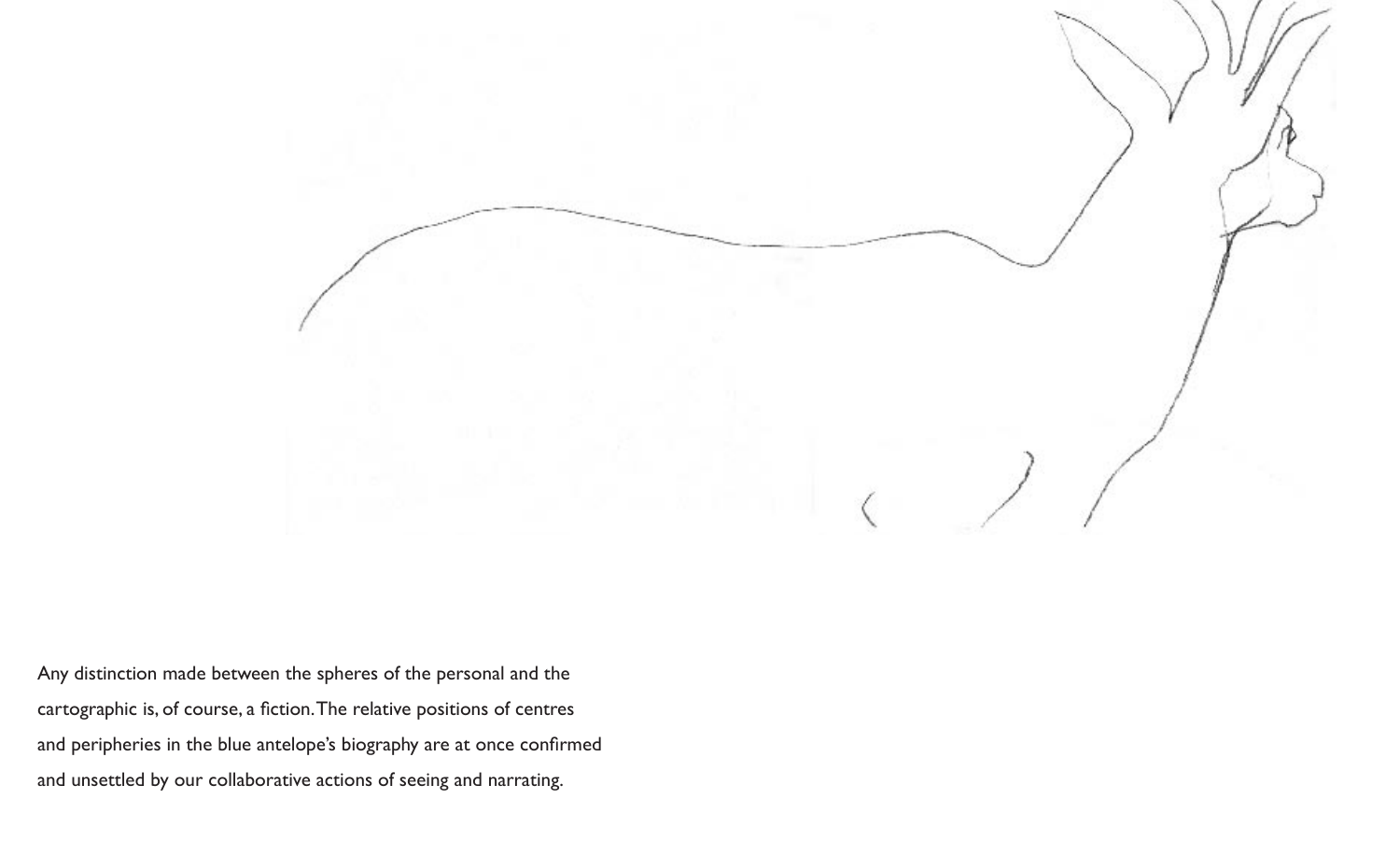

Any distinction made between the spheres of the personal and the cartographic is, of course, a fiction. The relative positions of centres and peripheries in the blue antelope's biography are at once confirmed and unsettled by our collaborative actions of seeing and narrating.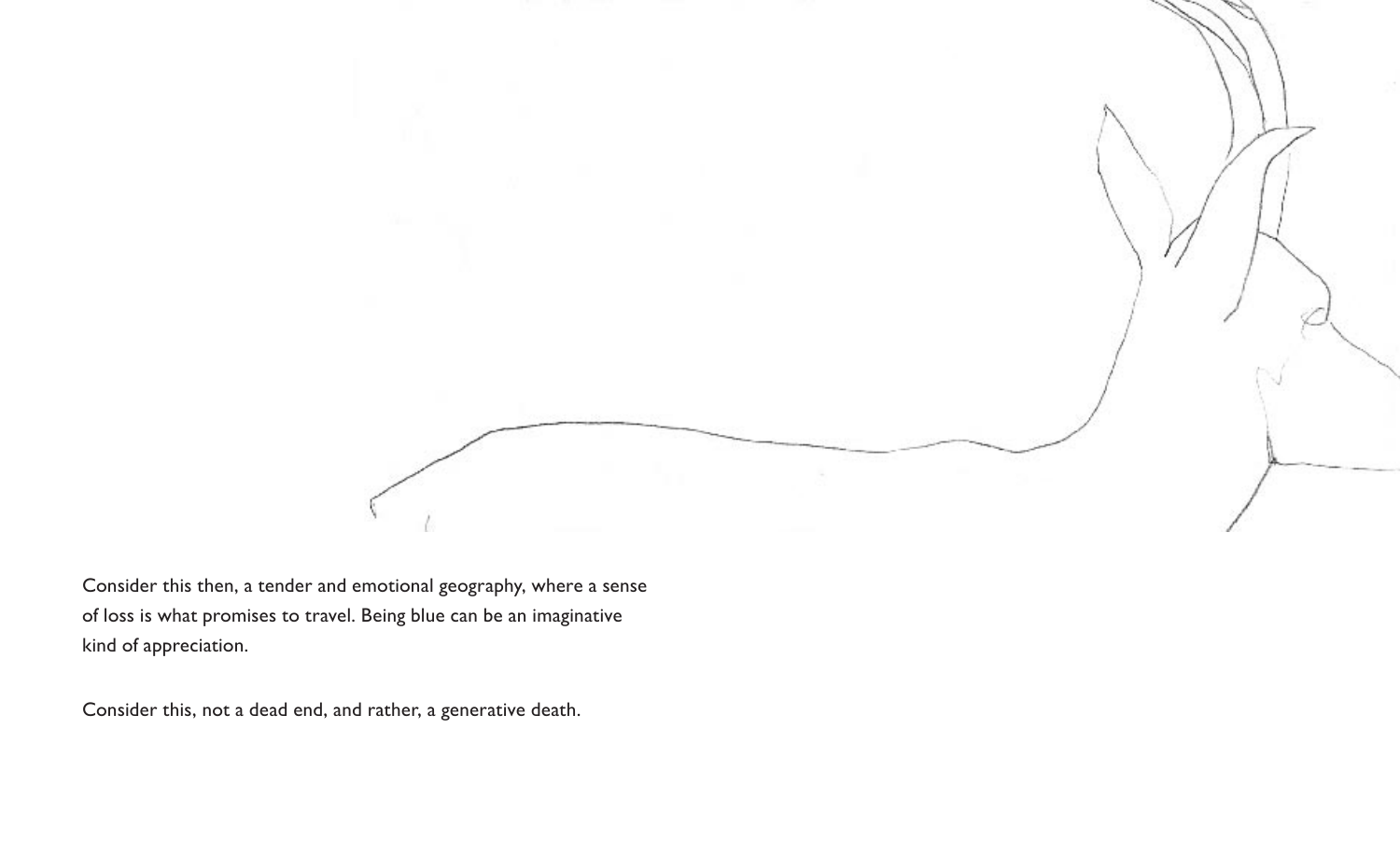

Consider this then, a tender and emotional geography, where a sense of loss is what promises to travel. Being blue can be an imaginative kind of appreciation.

Consider this, not a dead end, and rather, a generative death.